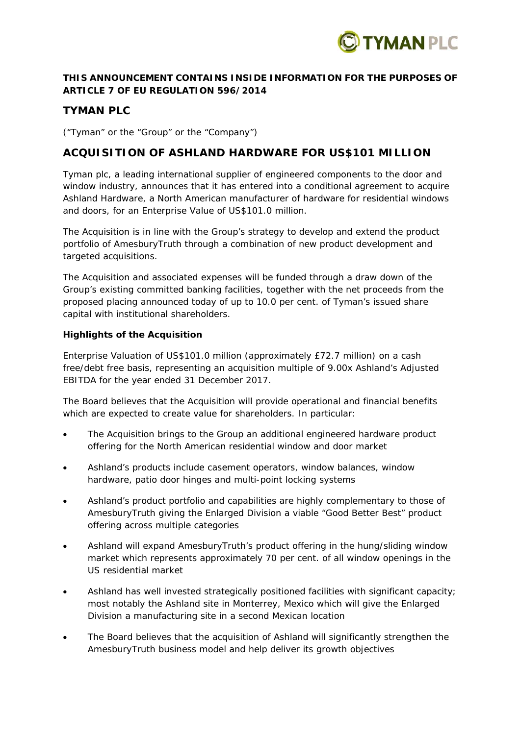

## **THIS ANNOUNCEMENT CONTAINS INSIDE INFORMATION FOR THE PURPOSES OF ARTICLE 7 OF EU REGULATION 596/2014**

# **TYMAN PLC**

("Tyman" or the "Group" or the "Company")

## **ACQUISITION OF ASHLAND HARDWARE FOR US\$101 MILLION**

Tyman plc, a leading international supplier of engineered components to the door and window industry, announces that it has entered into a conditional agreement to acquire Ashland Hardware, a North American manufacturer of hardware for residential windows and doors, for an Enterprise Value of US\$101.0 million.

The Acquisition is in line with the Group's strategy to develop and extend the product portfolio of AmesburyTruth through a combination of new product development and targeted acquisitions.

The Acquisition and associated expenses will be funded through a draw down of the Group's existing committed banking facilities, together with the net proceeds from the proposed placing announced today of up to 10.0 per cent. of Tyman's issued share capital with institutional shareholders.

#### **Highlights of the Acquisition**

Enterprise Valuation of US\$101.0 million (approximately £72.7 million) on a cash free/debt free basis, representing an acquisition multiple of 9.00x Ashland's Adjusted EBITDA for the year ended 31 December 2017.

The Board believes that the Acquisition will provide operational and financial benefits which are expected to create value for shareholders. In particular:

- The Acquisition brings to the Group an additional engineered hardware product offering for the North American residential window and door market
- Ashland's products include casement operators, window balances, window hardware, patio door hinges and multi-point locking systems
- Ashland's product portfolio and capabilities are highly complementary to those of AmesburyTruth giving the Enlarged Division a viable "Good Better Best" product offering across multiple categories
- Ashland will expand AmesburyTruth's product offering in the hung/sliding window market which represents approximately 70 per cent. of all window openings in the US residential market
- Ashland has well invested strategically positioned facilities with significant capacity; most notably the Ashland site in Monterrey, Mexico which will give the Enlarged Division a manufacturing site in a second Mexican location
- The Board believes that the acquisition of Ashland will significantly strengthen the AmesburyTruth business model and help deliver its growth objectives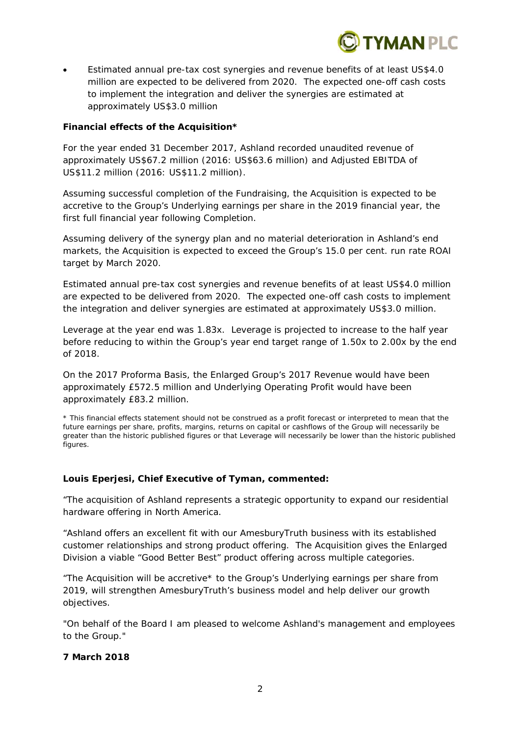

 Estimated annual pre-tax cost synergies and revenue benefits of at least US\$4.0 million are expected to be delivered from 2020. The expected one-off cash costs to implement the integration and deliver the synergies are estimated at approximately US\$3.0 million

#### **Financial effects of the Acquisition\***

For the year ended 31 December 2017, Ashland recorded unaudited revenue of approximately US\$67.2 million (2016: US\$63.6 million) and Adjusted EBITDA of US\$11.2 million (2016: US\$11.2 million).

Assuming successful completion of the Fundraising, the Acquisition is expected to be accretive to the Group's Underlying earnings per share in the 2019 financial year, the first full financial year following Completion.

Assuming delivery of the synergy plan and no material deterioration in Ashland's end markets, the Acquisition is expected to exceed the Group's 15.0 per cent. run rate ROAI target by March 2020.

Estimated annual pre-tax cost synergies and revenue benefits of at least US\$4.0 million are expected to be delivered from 2020. The expected one-off cash costs to implement the integration and deliver synergies are estimated at approximately US\$3.0 million.

Leverage at the year end was 1.83x. Leverage is projected to increase to the half year before reducing to within the Group's year end target range of 1.50x to 2.00x by the end of 2018.

On the 2017 Proforma Basis, the Enlarged Group's 2017 Revenue would have been approximately £572.5 million and Underlying Operating Profit would have been approximately £83.2 million.

*\* This financial effects statement should not be construed as a profit forecast or interpreted to mean that the future earnings per share, profits, margins, returns on capital or cashflows of the Group will necessarily be greater than the historic published figures or that Leverage will necessarily be lower than the historic published figures.* 

#### **Louis Eperjesi, Chief Executive of Tyman, commented:**

*"The acquisition of Ashland represents a strategic opportunity to expand our residential hardware offering in North America.* 

*"Ashland offers an excellent fit with our AmesburyTruth business with its established customer relationships and strong product offering. The Acquisition gives the Enlarged Division a viable "Good Better Best" product offering across multiple categories.* 

*"The Acquisition will be accretive\* to the Group's Underlying earnings per share from 2019, will strengthen AmesburyTruth's business model and help deliver our growth objectives.* 

*"On behalf of the Board I am pleased to welcome Ashland's management and employees to the Group."* 

#### **7 March 2018**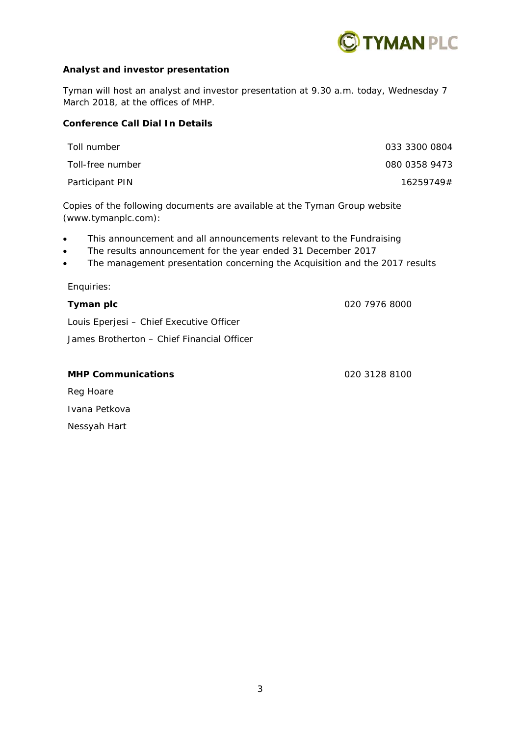

## **Analyst and investor presentation**

Tyman will host an analyst and investor presentation at 9.30 a.m. today, Wednesday 7 March 2018, at the offices of MHP.

## **Conference Call Dial In Details**

| Toll number      | 033 3300 0804 |
|------------------|---------------|
| Toll-free number | 080 0358 9473 |
| Participant PIN  | 16259749#     |

Copies of the following documents are available at the Tyman Group website (www.tymanplc.com):

- This announcement and all announcements relevant to the Fundraising
- The results announcement for the year ended 31 December 2017
- The management presentation concerning the Acquisition and the 2017 results

Enquiries:

## **Tyman plc** 020 7976 8000

Louis Eperjesi – Chief Executive Officer

James Brotherton – Chief Financial Officer

# **MHP Communications** 020 3128 8100 Reg Hoare Ivana Petkova

Nessyah Hart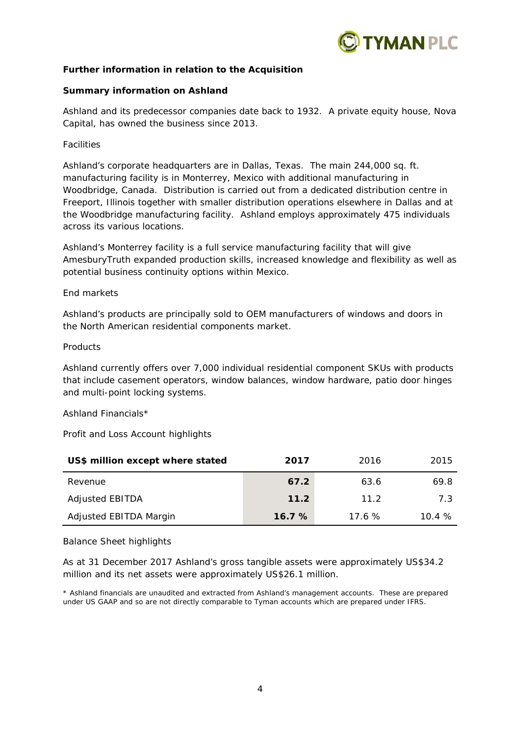

#### **Further information in relation to the Acquisition**

#### **Summary information on Ashland**

Ashland and its predecessor companies date back to 1932. A private equity house, Nova Capital, has owned the business since 2013.

#### *Facilities*

Ashland's corporate headquarters are in Dallas, Texas. The main 244,000 sq. ft. manufacturing facility is in Monterrey, Mexico with additional manufacturing in Woodbridge, Canada. Distribution is carried out from a dedicated distribution centre in Freeport, Illinois together with smaller distribution operations elsewhere in Dallas and at the Woodbridge manufacturing facility. Ashland employs approximately 475 individuals across its various locations.

Ashland's Monterrey facility is a full service manufacturing facility that will give AmesburyTruth expanded production skills, increased knowledge and flexibility as well as potential business continuity options within Mexico.

#### *End markets*

Ashland's products are principally sold to OEM manufacturers of windows and doors in the North American residential components market.

#### *Products*

Ashland currently offers over 7,000 individual residential component SKUs with products that include casement operators, window balances, window hardware, patio door hinges and multi-point locking systems.

#### *Ashland Financials\**

#### *Profit and Loss Account highlights*

| US\$ million except where stated | 2017  | 2016  | 2015  |
|----------------------------------|-------|-------|-------|
| Revenue                          | 67.2  | 63.6  | 69.8  |
| <b>Adjusted EBITDA</b>           | 11.2  | 11 2  | 7 3   |
| Adjusted EBITDA Margin           | 16.7% | 17.6% | 10.4% |

#### *Balance Sheet highlights*

As at 31 December 2017 Ashland's gross tangible assets were approximately US\$34.2 million and its net assets were approximately US\$26.1 million.

*\* Ashland financials are unaudited and extracted from Ashland's management accounts. These are prepared under US GAAP and so are not directly comparable to Tyman accounts which are prepared under IFRS.*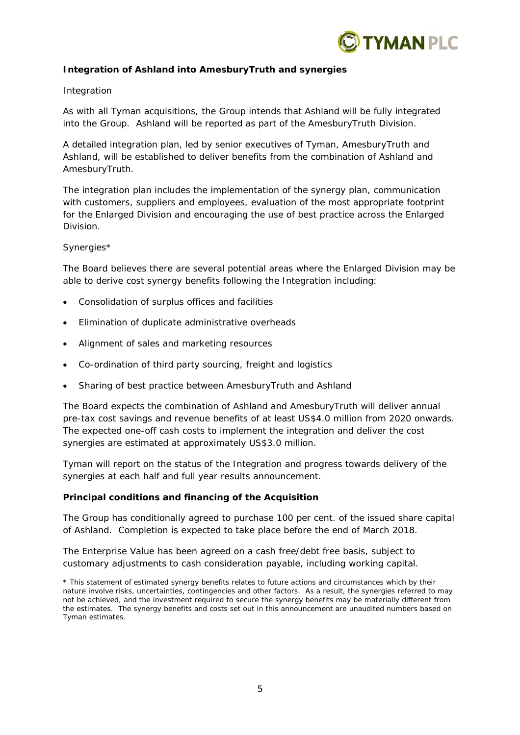

## **Integration of Ashland into AmesburyTruth and synergies**

#### *Integration*

As with all Tyman acquisitions, the Group intends that Ashland will be fully integrated into the Group. Ashland will be reported as part of the AmesburyTruth Division.

A detailed integration plan, led by senior executives of Tyman, AmesburyTruth and Ashland, will be established to deliver benefits from the combination of Ashland and AmesburyTruth.

The integration plan includes the implementation of the synergy plan, communication with customers, suppliers and employees, evaluation of the most appropriate footprint for the Enlarged Division and encouraging the use of best practice across the Enlarged Division.

#### *Synergies\**

The Board believes there are several potential areas where the Enlarged Division may be able to derive cost synergy benefits following the Integration including:

- Consolidation of surplus offices and facilities
- Elimination of duplicate administrative overheads
- Alignment of sales and marketing resources
- Co-ordination of third party sourcing, freight and logistics
- Sharing of best practice between AmesburyTruth and Ashland

The Board expects the combination of Ashland and AmesburyTruth will deliver annual pre-tax cost savings and revenue benefits of at least US\$4.0 million from 2020 onwards. The expected one-off cash costs to implement the integration and deliver the cost synergies are estimated at approximately US\$3.0 million.

Tyman will report on the status of the Integration and progress towards delivery of the synergies at each half and full year results announcement.

#### **Principal conditions and financing of the Acquisition**

The Group has conditionally agreed to purchase 100 per cent. of the issued share capital of Ashland. Completion is expected to take place before the end of March 2018.

The Enterprise Value has been agreed on a cash free/debt free basis, subject to customary adjustments to cash consideration payable, including working capital.

*\* This statement of estimated synergy benefits relates to future actions and circumstances which by their nature involve risks, uncertainties, contingencies and other factors. As a result, the synergies referred to may not be achieved, and the investment required to secure the synergy benefits may be materially different from the estimates. The synergy benefits and costs set out in this announcement are unaudited numbers based on Tyman estimates.*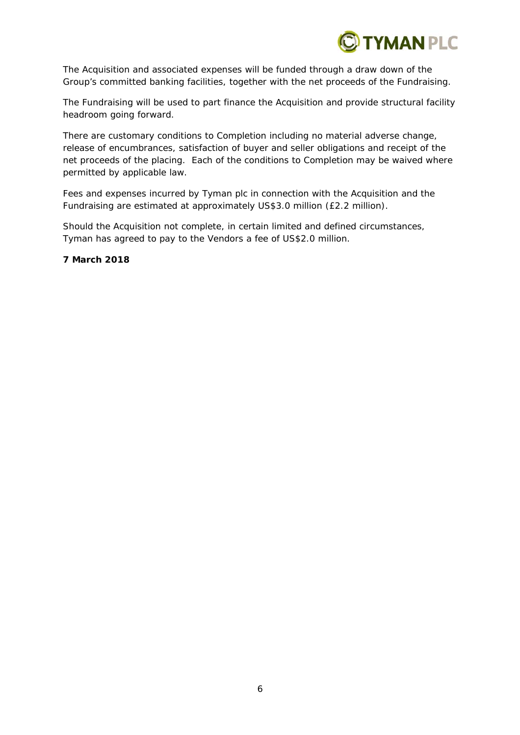

The Acquisition and associated expenses will be funded through a draw down of the Group's committed banking facilities, together with the net proceeds of the Fundraising.

The Fundraising will be used to part finance the Acquisition and provide structural facility headroom going forward.

There are customary conditions to Completion including no material adverse change, release of encumbrances, satisfaction of buyer and seller obligations and receipt of the net proceeds of the placing. Each of the conditions to Completion may be waived where permitted by applicable law.

Fees and expenses incurred by Tyman plc in connection with the Acquisition and the Fundraising are estimated at approximately US\$3.0 million (£2.2 million).

Should the Acquisition not complete, in certain limited and defined circumstances, Tyman has agreed to pay to the Vendors a fee of US\$2.0 million.

**7 March 2018**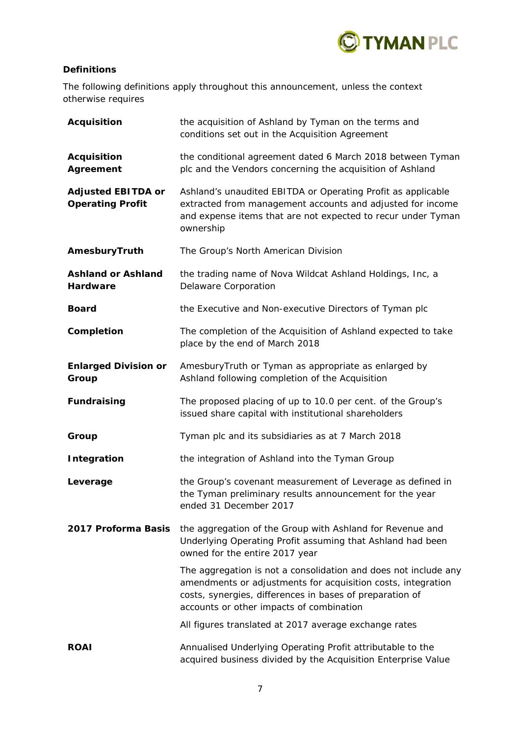

## **Definitions**

The following definitions apply throughout this announcement, unless the context otherwise requires

| <b>Acquisition</b>                                   | the acquisition of Ashland by Tyman on the terms and<br>conditions set out in the Acquisition Agreement                                                                                                                                 |
|------------------------------------------------------|-----------------------------------------------------------------------------------------------------------------------------------------------------------------------------------------------------------------------------------------|
| <b>Acquisition</b><br>Agreement                      | the conditional agreement dated 6 March 2018 between Tyman<br>plc and the Vendors concerning the acquisition of Ashland                                                                                                                 |
| <b>Adjusted EBITDA or</b><br><b>Operating Profit</b> | Ashland's unaudited EBITDA or Operating Profit as applicable<br>extracted from management accounts and adjusted for income<br>and expense items that are not expected to recur under Tyman<br>ownership                                 |
| AmesburyTruth                                        | The Group's North American Division                                                                                                                                                                                                     |
| <b>Ashland or Ashland</b><br>Hardware                | the trading name of Nova Wildcat Ashland Holdings, Inc, a<br>Delaware Corporation                                                                                                                                                       |
| <b>Board</b>                                         | the Executive and Non-executive Directors of Tyman plc                                                                                                                                                                                  |
| Completion                                           | The completion of the Acquisition of Ashland expected to take<br>place by the end of March 2018                                                                                                                                         |
| <b>Enlarged Division or</b><br>Group                 | AmesburyTruth or Tyman as appropriate as enlarged by<br>Ashland following completion of the Acquisition                                                                                                                                 |
| <b>Fundraising</b>                                   | The proposed placing of up to 10.0 per cent. of the Group's<br>issued share capital with institutional shareholders                                                                                                                     |
| Group                                                | Tyman plc and its subsidiaries as at 7 March 2018                                                                                                                                                                                       |
| <b>Integration</b>                                   | the integration of Ashland into the Tyman Group                                                                                                                                                                                         |
| Leverage                                             | the Group's covenant measurement of Leverage as defined in<br>the Tyman preliminary results announcement for the year<br>ended 31 December 2017                                                                                         |
| 2017 Proforma Basis                                  | the aggregation of the Group with Ashland for Revenue and<br>Underlying Operating Profit assuming that Ashland had been<br>owned for the entire 2017 year                                                                               |
|                                                      | The aggregation is not a consolidation and does not include any<br>amendments or adjustments for acquisition costs, integration<br>costs, synergies, differences in bases of preparation of<br>accounts or other impacts of combination |
|                                                      | All figures translated at 2017 average exchange rates                                                                                                                                                                                   |
| <b>ROAI</b>                                          | Annualised Underlying Operating Profit attributable to the<br>acquired business divided by the Acquisition Enterprise Value                                                                                                             |